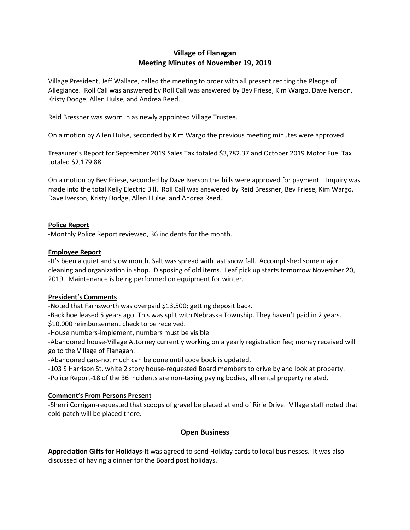# **Village of Flanagan Meeting Minutes of November 19, 2019**

Village President, Jeff Wallace, called the meeting to order with all present reciting the Pledge of Allegiance. Roll Call was answered by Roll Call was answered by Bev Friese, Kim Wargo, Dave Iverson, Kristy Dodge, Allen Hulse, and Andrea Reed.

Reid Bressner was sworn in as newly appointed Village Trustee.

On a motion by Allen Hulse, seconded by Kim Wargo the previous meeting minutes were approved.

Treasurer's Report for September 2019 Sales Tax totaled \$3,782.37 and October 2019 Motor Fuel Tax totaled \$2,179.88.

On a motion by Bev Friese, seconded by Dave Iverson the bills were approved for payment. Inquiry was made into the total Kelly Electric Bill. Roll Call was answered by Reid Bressner, Bev Friese, Kim Wargo, Dave Iverson, Kristy Dodge, Allen Hulse, and Andrea Reed.

### **Police Report**

-Monthly Police Report reviewed, 36 incidents for the month.

#### **Employee Report**

-It's been a quiet and slow month. Salt was spread with last snow fall. Accomplished some major cleaning and organization in shop. Disposing of old items. Leaf pick up starts tomorrow November 20, 2019. Maintenance is being performed on equipment for winter.

### **President's Comments**

-Noted that Farnsworth was overpaid \$13,500; getting deposit back.

-Back hoe leased 5 years ago. This was split with Nebraska Township. They haven't paid in 2 years. \$10,000 reimbursement check to be received.

-House numbers-implement, numbers must be visible

-Abandoned house-Village Attorney currently working on a yearly registration fee; money received will go to the Village of Flanagan.

-Abandoned cars-not much can be done until code book is updated.

-103 S Harrison St, white 2 story house-requested Board members to drive by and look at property. -Police Report-18 of the 36 incidents are non-taxing paying bodies, all rental property related.

#### **Comment's From Persons Present**

-Sherri Corrigan-requested that scoops of gravel be placed at end of Ririe Drive. Village staff noted that cold patch will be placed there.

## **Open Business**

**Appreciation Gifts for Holidays-**It was agreed to send Holiday cards to local businesses. It was also discussed of having a dinner for the Board post holidays.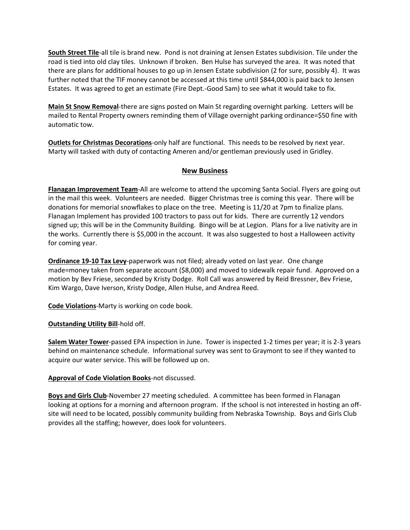**South Street Tile**-all tile is brand new. Pond is not draining at Jensen Estates subdivision. Tile under the road is tied into old clay tiles. Unknown if broken. Ben Hulse has surveyed the area. It was noted that there are plans for additional houses to go up in Jensen Estate subdivision (2 for sure, possibly 4). It was further noted that the TIF money cannot be accessed at this time until \$844,000 is paid back to Jensen Estates. It was agreed to get an estimate (Fire Dept.-Good Sam) to see what it would take to fix.

**Main St Snow Removal**-there are signs posted on Main St regarding overnight parking. Letters will be mailed to Rental Property owners reminding them of Village overnight parking ordinance=\$50 fine with automatic tow.

**Outlets for Christmas Decorations**-only half are functional. This needs to be resolved by next year. Marty will tasked with duty of contacting Ameren and/or gentleman previously used in Gridley.

## **New Business**

**Flanagan Improvement Team**-All are welcome to attend the upcoming Santa Social. Flyers are going out in the mail this week. Volunteers are needed. Bigger Christmas tree is coming this year. There will be donations for memorial snowflakes to place on the tree. Meeting is 11/20 at 7pm to finalize plans. Flanagan Implement has provided 100 tractors to pass out for kids. There are currently 12 vendors signed up; this will be in the Community Building. Bingo will be at Legion. Plans for a live nativity are in the works. Currently there is \$5,000 in the account. It was also suggested to host a Halloween activity for coming year.

**Ordinance 19-10 Tax Levy**-paperwork was not filed; already voted on last year. One change made=money taken from separate account (\$8,000) and moved to sidewalk repair fund. Approved on a motion by Bev Friese, seconded by Kristy Dodge. Roll Call was answered by Reid Bressner, Bev Friese, Kim Wargo, Dave Iverson, Kristy Dodge, Allen Hulse, and Andrea Reed.

**Code Violations**-Marty is working on code book.

**Outstanding Utility Bill**-hold off.

**Salem Water Tower**-passed EPA inspection in June. Tower is inspected 1-2 times per year; it is 2-3 years behind on maintenance schedule. Informational survey was sent to Graymont to see if they wanted to acquire our water service. This will be followed up on.

### **Approval of Code Violation Books**-not discussed.

**Boys and Girls Club**-November 27 meeting scheduled. A committee has been formed in Flanagan looking at options for a morning and afternoon program. If the school is not interested in hosting an offsite will need to be located, possibly community building from Nebraska Township. Boys and Girls Club provides all the staffing; however, does look for volunteers.